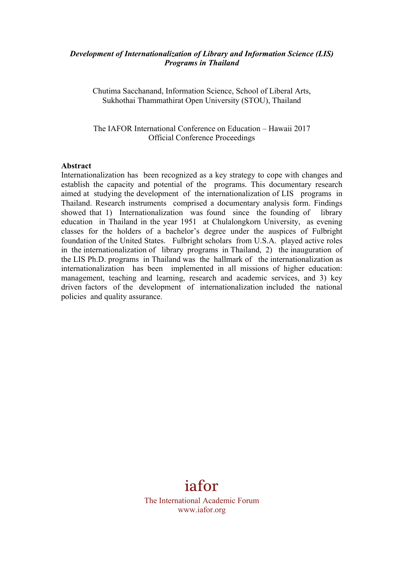#### *Development of Internationalization of Library and Information Science (LIS) Programs in Thailand*

Chutima Sacchanand, Information Science, School of Liberal Arts, Sukhothai Thammathirat Open University (STOU), Thailand

The IAFOR International Conference on Education – Hawaii 2017 Official Conference Proceedings

#### **Abstract**

Internationalization has been recognized as a key strategy to cope with changes and establish the capacity and potential of the programs. This documentary research aimed at studying the development of the internationalization of LIS programs in Thailand. Research instruments comprised a documentary analysis form. Findings showed that 1) Internationalization was found since the founding of library education in Thailand in the year 1951 at Chulalongkorn University, as evening classes for the holders of a bachelor's degree under the auspices of Fulbright foundation of the United States. Fulbright scholars from U.S.A. played active roles in the internationalization of library programs in Thailand, 2) the inauguration of the LIS Ph.D. programs in Thailand was the hallmark of the internationalization as internationalization has been implemented in all missions of higher education: management, teaching and learning, research and academic services, and 3) key driven factors of the development of internationalization included the national policies and quality assurance.

# iafor

The International Academic Forum www.iafor.org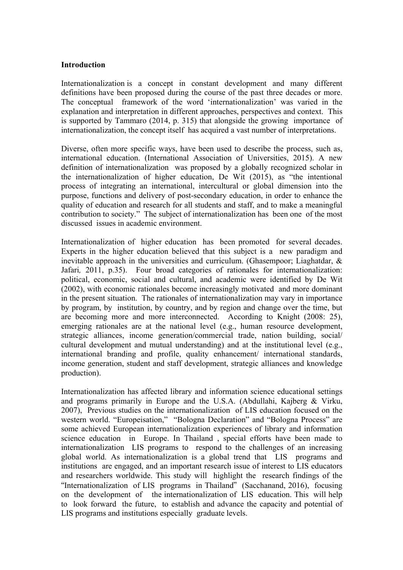#### **Introduction**

Internationalization is a concept in constant development and many different definitions have been proposed during the course of the past three decades or more. The conceptual framework of the word 'internationalization' was varied in the explanation and interpretation in different approaches, perspectives and context. This is supported by Tammaro (2014, p. 315) that alongside the growing importance of internationalization, the concept itself has acquired a vast number of interpretations.

Diverse, often more specific ways, have been used to describe the process, such as, international education. (International Association of Universities, 2015). A new definition of internationalization was proposed by a globally recognized scholar in the internationalization of higher education, De Wit (2015), as "the intentional process of integrating an international, intercultural or global dimension into the purpose, functions and delivery of post-secondary education, in order to enhance the quality of education and research for all students and staff, and to make a meaningful contribution to society." The subject of internationalization has been one of the most discussed issues in academic environment.

Internationalization of higher education has been promoted for several decades. Experts in the higher education believed that this subject is a new paradigm and inevitable approach in the universities and curriculum. (Ghasempoor; Liaghatdar, & Jafari*,* 2011, p.35). Four broad categories of rationales for internationalization: political, economic, social and cultural, and academic were identified by De Wit (2002), with economic rationales become increasingly motivated and more dominant in the present situation. The rationales of internationalization may vary in importance by program, by institution, by country, and by region and change over the time, but are becoming more and more interconnected. According to Knight (2008: 25), emerging rationales are at the national level (e.g., human resource development, strategic alliances, income generation/commercial trade, nation building, social/ cultural development and mutual understanding) and at the institutional level (e.g., international branding and profile, quality enhancement/ international standards, income generation, student and staff development, strategic alliances and knowledge production).

Internationalization has affected library and information science educational settings and programs primarily in Europe and the U.S.A. (Abdullahi, Kajberg & Virku, 2007), Previous studies on the internationalization of LIS education focused on the western world. "Europeisation," "Bologna Declaration" and "Bologna Process" are some achieved European internationalization experiences of library and information science education in Europe. In Thailand , special efforts have been made to internationalization LIS programs to respond to the challenges of an increasing global world. As internationalization is a global trend that LIS programs and institutions are engaged, and an important research issue of interest to LIS educators and researchers worldwide. This study will highlight the research findings of the "Internationalization of LIS programs in Thailand" (Sacchanand, 2016), focusing on the development of the internationalization of LIS education. This will help to look forward the future, to establish and advance the capacity and potential of LIS programs and institutions especially graduate levels.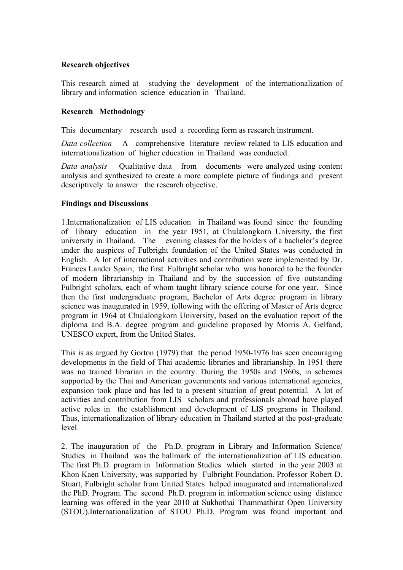### **Research objectives**

This research aimed at studying the development of the internationalization of library and information science education in Thailand.

# **Research Methodology**

This documentary research used a recording form as research instrument.

*Data collection* A comprehensive literature review related to LIS education and internationalization of higher education in Thailand was conducted.

*Data analysis* Qualitative data from documents were analyzed using content analysis and synthesized to create a more complete picture of findings and present descriptively to answer the research objective.

## **Findings and Discussions**

1.Internationalization of LIS education in Thailand was found since the founding of library education in the year 1951, at Chulalongkorn University, the first university in Thailand. The evening classes for the holders of a bachelor's degree under the auspices of Fulbright foundation of the United States was conducted in English. A lot of international activities and contribution were implemented by Dr. Frances Lander Spain, the first Fulbright scholar who was honored to be the founder of modern librarianship in Thailand and by the succession of five outstanding Fulbright scholars, each of whom taught library science course for one year. Since then the first undergraduate program, Bachelor of Arts degree program in library science was inaugurated in 1959, following with the offering of Master of Arts degree program in 1964 at Chulalongkorn University, based on the evaluation report of the diploma and B.A. degree program and guideline proposed by Morris A. Gelfand, UNESCO expert, from the United States.

This is as argued by Gorton (1979) that the period 1950-1976 has seen encouraging developments in the field of Thai academic libraries and librarianship. In 1951 there was no trained librarian in the country. During the 1950s and 1960s, in schemes supported by the Thai and American governments and various international agencies, expansion took place and has led to a present situation of great potential*.* A lot of activities and contribution from LIS scholars and professionals abroad have played active roles in the establishment and development of LIS programs in Thailand. Thus, internationalization of library education in Thailand started at the post-graduate level.

2. The inauguration of the Ph.D. program in Library and Information Science/ Studies in Thailand was the hallmark of the internationalization of LIS education. The first Ph.D. program in Information Studies which started in the year 2003 at Khon Kaen University, was supported by Fulbright Foundation. Professor Robert D. Stuart, Fulbright scholar from United States helped inaugurated and internationalized the PhD. Program. The second Ph.D. program in information science using distance learning was offered in the year 2010 at Sukhothai Thammathirat Open University (STOU).Internationalization of STOU Ph.D. Program was found important and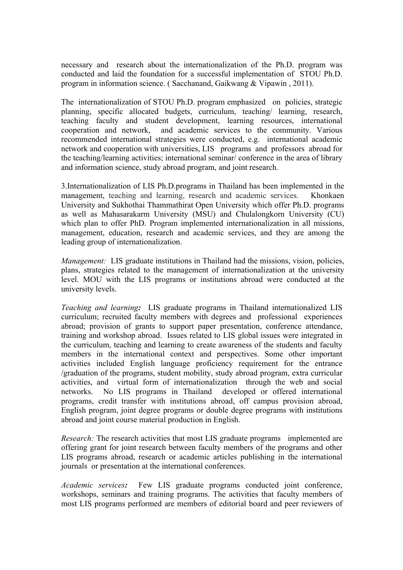necessary and research about the internationalization of the Ph.D. program was conducted and laid the foundation for a successful implementation of STOU Ph.D. program in information science. ( Sacchanand, Gaikwang & Vipawin , 2011).

The internationalization of STOU Ph.D. program emphasized on policies, strategic planning, specific allocated budgets, curriculum, teaching/ learning, research, teaching faculty and student development, learning resources, international cooperation and network, and academic services to the community. Various recommended international strategies were conducted, e.g. international academic network and cooperation with universities, LIS programs and professors abroad for the teaching/learning activities; international seminar/ conference in the area of library and information science, study abroad program, and joint research.

3.Internationalization of LIS Ph.D.programs in Thailand has been implemented in the management, teaching and learning, research and academic services. Khonkaen University and Sukhothai Thammathirat Open University which offer Ph.D. programs as well as Mahasarakarm University (MSU) and Chulalongkorn University (CU) which plan to offer PhD. Program implemented internationalization in all missions, management, education, research and academic services, and they are among the leading group of internationalization.

*Management:* LIS graduate institutions in Thailand had the missions, vision, policies, plans, strategies related to the management of internationalization at the university level. MOU with the LIS programs or institutions abroad were conducted at the university levels.

*Teaching and learning:* LIS graduate programs in Thailand internationalized LIS curriculum; recruited faculty members with degrees and professional experiences abroad; provision of grants to support paper presentation, conference attendance, training and workshop abroad. Issues related to LIS global issues were integrated in the curriculum, teaching and learning to create awareness of the students and faculty members in the international context and perspectives. Some other important activities included English language proficiency requirement for the entrance /graduation of the programs, student mobility, study abroad program, extra curricular activities, and virtual form of internationalization through the web and social networks. No LIS programs in Thailand developed or offered international programs, credit transfer with institutions abroad, off campus provision abroad, English program, joint degree programs or double degree programs with institutions abroad and joint course material production in English.

*Research:* The research activities that most LIS graduate programs implemented are offering grant for joint research between faculty members of the programs and other LIS programs abroad, research or academic articles publishing in the international journals or presentation at the international conferences.

*Academic services:* Few LIS graduate programs conducted joint conference, workshops, seminars and training programs. The activities that faculty members of most LIS programs performed are members of editorial board and peer reviewers of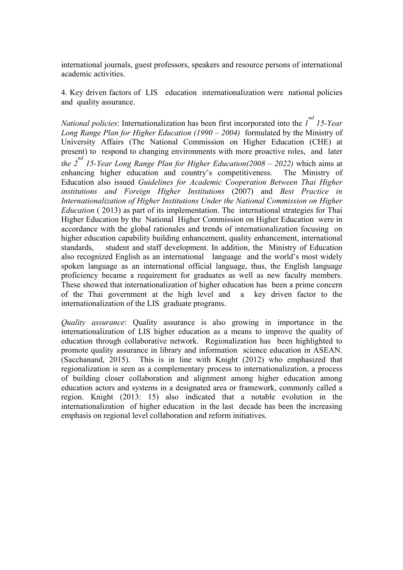international journals, guest professors, speakers and resource persons of international academic activities.

4. Key driven factors of LIS education internationalization were national policies and quality assurance.

*National policies*: Internationalization has been first incorporated into the *1 nd 15-Year Long Range Plan for Higher Education (1990 – 2004)* formulated by the Ministry of University Affairs (The National Commission on Higher Education (CHE) at present) to respond to changing environments with more proactive roles, and later *the 2 nd 15-Year Long Range Plan for Higher Education(2008 – 2022)* which aims at enhancing higher education and country's competitiveness. The Ministry of Education also issued *Guidelines for Academic Cooperation Between Thai Higher institutions and Foreign Higher Institutions* (2007) and *Best Practice in Internationalization of Higher Institutions Under the National Commission on Higher Education* (2013) as part of its implementation. The international strategies for Thai Higher Education by the National Higher Commission on Higher Education were in accordance with the global rationales and trends of internationalization focusing on higher education capability building enhancement, quality enhancement, international standards, student and staff development. In addition, the Ministry of Education also recognized English as an international language and the world's most widely spoken language as an international official language, thus, the English language proficiency became a requirement for graduates as well as new faculty members. These showed that internationalization of higher education has been a prime concern of the Thai government at the high level and a key driven factor to the internationalization of the LIS graduate programs.

*Quality assurance*: Quality assurance is also growing in importance in the internationalization of LIS higher education as a means to improve the quality of education through collaborative network. Regionalization has been highlighted to promote quality assurance in library and information science education in ASEAN. (Sacchanand, 2015). This is in line with Knight (2012) who emphasized that regionalization is seen as a complementary process to internationalization, a process of building closer collaboration and alignment among higher education among education actors and systems in a designated area or framework, commonly called a region. Knight (2013: 15) also indicated that a notable evolution in the internationalization of higher education in the last decade has been the increasing emphasis on regional level collaboration and reform initiatives.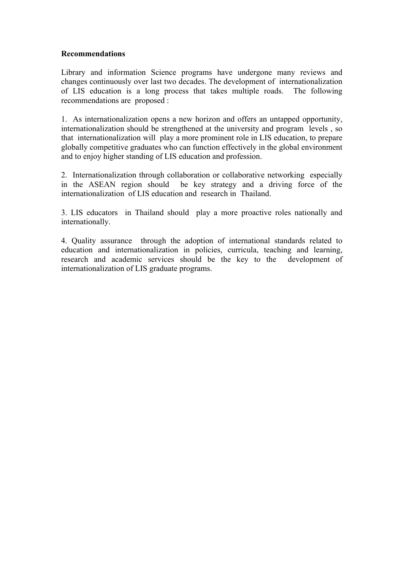### **Recommendations**

Library and information Science programs have undergone many reviews and changes continuously over last two decades. The development of internationalization of LIS education is a long process that takes multiple roads. The following recommendations are proposed :

1. As internationalization opens a new horizon and offers an untapped opportunity, internationalization should be strengthened at the university and program levels , so that internationalization will play a more prominent role in LIS education, to prepare globally competitive graduates who can function effectively in the global environment and to enjoy higher standing of LIS education and profession.

2. Internationalization through collaboration or collaborative networking especially in the ASEAN region should be key strategy and a driving force of the internationalization of LIS education and research in Thailand.

3. LIS educators in Thailand should play a more proactive roles nationally and internationally.

4. Quality assurance through the adoption of international standards related to education and internationalization in policies, curricula, teaching and learning, research and academic services should be the key to the development of internationalization of LIS graduate programs.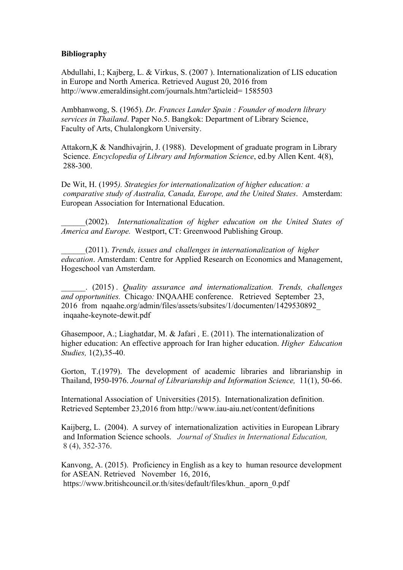### **Bibliography**

Abdullahi, I.; Kajberg, L. & Virkus, S. (2007 ). Internationalization of LIS education in Europe and North America. Retrieved August 20, 2016 from http://www.emeraldinsight.com/journals.htm?articleid= 1585503

Ambhanwong, S. (1965). *Dr. Frances Lander Spain : Founder of modern library services in Thailand*. Paper No.5. Bangkok: Department of Library Science, Faculty of Arts, Chulalongkorn University.

Attakorn,K & Nandhivajrin, J. (1988). Development of graduate program in Library Science. *Encyclopedia of Library and Information Science*, ed.by Allen Kent. 4(8), 288-300.

De Wit, H. (1995*). Strategies for internationalization of higher education: a comparative study of Australia, Canada, Europe, and the United States*. Amsterdam: European Association for International Education.

\_\_\_\_\_\_(2002). *Internationalization of higher education on the United States of America and Europe.* Westport, CT: Greenwood Publishing Group.

\_\_\_\_\_\_(2011). *Trends, issues and challenges in internationalization of higher education*. Amsterdam: Centre for Applied Research on Economics and Management, Hogeschool van Amsterdam.

\_\_\_\_\_\_. (2015) . *Quality assurance and internationalization. Trends, challenges and opportunities.* Chicago*:* INQAAHE conference. Retrieved September 23, 2016 from nqaahe.org/admin/files/assets/subsites/1/documenten/1429530892\_ inqaahe-keynote-dewit.pdf

Ghasempoor, A.; Liaghatdar, M. & Jafari *,* E. (2011). The internationalization of higher education: An effective approach for Iran higher education. *Higher Education Studies,* 1(2),35-40.

Gorton, T.(1979). The development of academic libraries and librarianship in Thailand, I950-I976. *Journal of Librarianship and Information Science,* 11(1), 50-66.

International Association of Universities (2015). Internationalization definition. Retrieved September 23,2016 from http://www.iau-aiu.net/content/definitions

Kaijberg, L. (2004). A survey of internationalization activities in European Library and Information Science schools. *Journal of Studies in International Education,*  8 (4), 352-376.

Kanvong, A. (2015). Proficiency in English as a key to human resource development for ASEAN. Retrieved November 16, 2016, https://www.britishcouncil.or.th/sites/default/files/khun.\_aporn\_0.pdf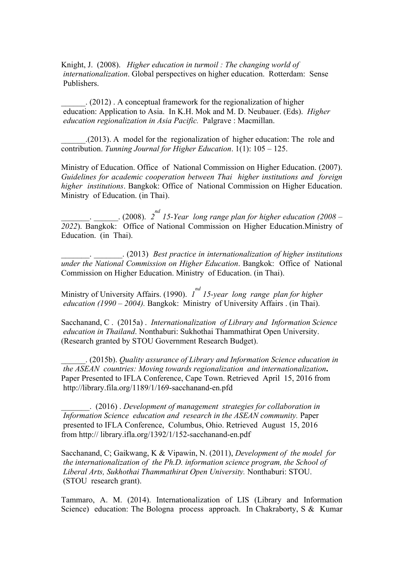Knight, J. (2008). *Higher education in turmoil : The changing world of internationalization*. Global perspectives on higher education. Rotterdam: Sense Publishers.

\_\_\_\_\_\_. (2012) . A conceptual framework for the regionalization of higher education: Application to Asia. In K.H. Mok and M. D. Neubauer. (Eds). *Higher education regionalization in Asia Pacific.* Palgrave : Macmillan.

\_\_\_\_\_\_.(2013). A model for the regionalization of higher education: The role and contribution. *Tunning Journal for Higher Education*. 1(1): 105 – 125.

Ministry of Education. Office of National Commission on Higher Education. (2007). *Guidelines for academic cooperation between Thai higher institutions and foreign higher institutions*. Bangkok: Office of National Commission on Higher Education. Ministry of Education. (in Thai).

\_\_\_\_\_\_\_. \_\_\_\_\_\_. (2008). *2 nd 15-Year long range plan for higher education (2008 – 2022*). Bangkok: Office of National Commission on Higher Education.Ministry of Education. (in Thai).

\_\_\_\_\_\_\_. \_\_\_\_\_\_\_. (2013) *Best practice in internationalization of higher institutions under the National Commission on Higher Education*. Bangkok: Office of National Commission on Higher Education. Ministry of Education. (in Thai).

Ministry of University Affairs. (1990). 1<sup>nd</sup> 15-year long range plan for higher *education (1990 – 2004).* Bangkok: Ministry of University Affairs . (in Thai).

Sacchanand, C . (2015a) . *Internationalization of Library and Information Science education in Thailand*. Nonthaburi: Sukhothai Thammathirat Open University. (Research granted by STOU Government Research Budget).

\_\_\_\_\_\_. (2015b). *Quality assurance of Library and Information Science education in the ASEAN countries: Moving towards regionalization and internationalization***.**  Paper Presented to IFLA Conference, Cape Town. Retrieved April 15, 2016 from http://library.fila.org/1189/1/169-sacchanand-en.pfd

\_\_\_\_\_\_\_. (2016) . *Development of management strategies for collaboration in Information Science education and research in the ASEAN community.* Paper presented to IFLA Conference, Columbus, Ohio. Retrieved August 15, 2016 from http:// library.ifla.org/1392/1/152-sacchanand-en.pdf

Sacchanand, C; Gaikwang, K & Vipawin, N. (2011), *Development of the model for the internationalization of the Ph.D. information science program, the School of Liberal Arts, Sukhothai Thammathirat Open University.* Nonthaburi: STOU. (STOU research grant).

Tammaro, A. M. (2014). Internationalization of LIS (Library and Information Science) education: The Bologna process approach. In Chakraborty, S & Kumar